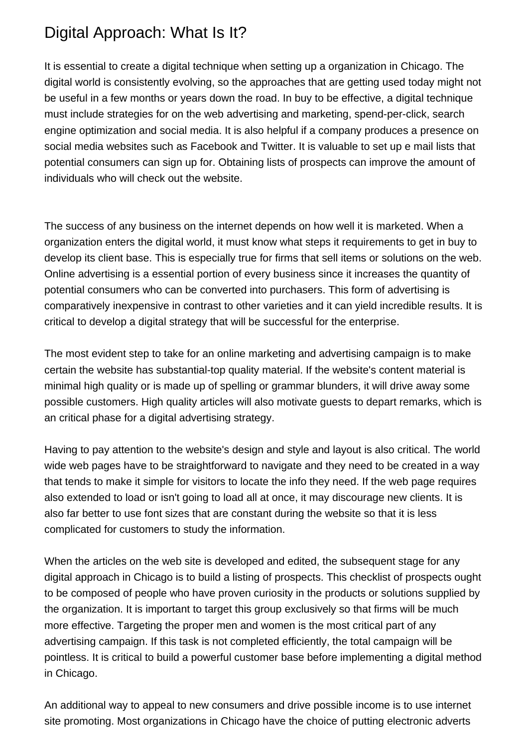## Digital Approach: What Is It?

It is essential to create a digital technique when setting up a organization in Chicago. The digital world is consistently evolving, so the approaches that are getting used today might not be useful in a few months or years down the road. In buy to be effective, a digital technique must include strategies for on the web advertising and marketing, spend-per-click, search engine optimization and social media. It is also helpful if a company produces a presence on social media websites such as Facebook and Twitter. It is valuable to set up e mail lists that potential consumers can sign up for. Obtaining lists of prospects can improve the amount of individuals who will check out the website.

The success of any business on the internet depends on how well it is marketed. When a organization enters the digital world, it must know what steps it requirements to get in buy to develop its client base. This is especially true for firms that sell items or solutions on the web. Online advertising is a essential portion of every business since it increases the quantity of potential consumers who can be converted into purchasers. This form of advertising is comparatively inexpensive in contrast to other varieties and it can yield incredible results. It is critical to develop a digital strategy that will be successful for the enterprise.

The most evident step to take for an online marketing and advertising campaign is to make certain the website has substantial-top quality material. If the website's content material is minimal high quality or is made up of spelling or grammar blunders, it will drive away some possible customers. High quality articles will also motivate guests to depart remarks, which is an critical phase for a digital advertising strategy.

Having to pay attention to the website's design and style and layout is also critical. The world wide web pages have to be straightforward to navigate and they need to be created in a way that tends to make it simple for visitors to locate the info they need. If the web page requires also extended to load or isn't going to load all at once, it may discourage new clients. It is also far better to use font sizes that are constant during the website so that it is less complicated for customers to study the information.

When the articles on the web site is developed and edited, the subsequent stage for any digital approach in Chicago is to build a listing of prospects. This checklist of prospects ought to be composed of people who have proven curiosity in the products or solutions supplied by the organization. It is important to target this group exclusively so that firms will be much more effective. Targeting the proper men and women is the most critical part of any advertising campaign. If this task is not completed efficiently, the total campaign will be pointless. It is critical to build a powerful customer base before implementing a digital method in Chicago.

An additional way to appeal to new consumers and drive possible income is to use internet site promoting. Most organizations in Chicago have the choice of putting electronic adverts